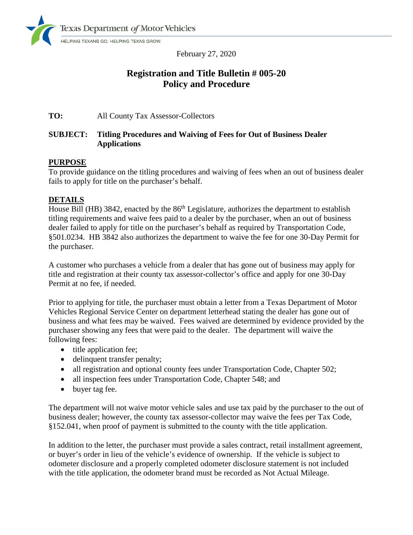

February 27, 2020

# **Registration and Title Bulletin # 005-20 Policy and Procedure**

# **TO:** All County Tax Assessor-Collectors

# **SUBJECT: Titling Procedures and Waiving of Fees for Out of Business Dealer Applications**

# **PURPOSE**

To provide guidance on the titling procedures and waiving of fees when an out of business dealer fails to apply for title on the purchaser's behalf.

# **DETAILS**

House Bill (HB) 3842, enacted by the  $86<sup>th</sup>$  Legislature, authorizes the department to establish titling requirements and waive fees paid to a dealer by the purchaser, when an out of business dealer failed to apply for title on the purchaser's behalf as required by Transportation Code, §501.0234. HB 3842 also authorizes the department to waive the fee for one 30-Day Permit for the purchaser.

A customer who purchases a vehicle from a dealer that has gone out of business may apply for title and registration at their county tax assessor-collector's office and apply for one 30-Day Permit at no fee, if needed.

Prior to applying for title, the purchaser must obtain a letter from a Texas Department of Motor Vehicles Regional Service Center on department letterhead stating the dealer has gone out of business and what fees may be waived. Fees waived are determined by evidence provided by the purchaser showing any fees that were paid to the dealer. The department will waive the following fees:

- title application fee;
- delinquent transfer penalty;
- all registration and optional county fees under Transportation Code, Chapter 502;
- all inspection fees under Transportation Code, Chapter 548; and
- buyer tag fee.

The department will not waive motor vehicle sales and use tax paid by the purchaser to the out of business dealer; however, the county tax assessor-collector may waive the fees per Tax Code, §152.041, when proof of payment is submitted to the county with the title application.

In addition to the letter, the purchaser must provide a sales contract, retail installment agreement, or buyer's order in lieu of the vehicle's evidence of ownership. If the vehicle is subject to odometer disclosure and a properly completed odometer disclosure statement is not included with the title application, the odometer brand must be recorded as Not Actual Mileage.